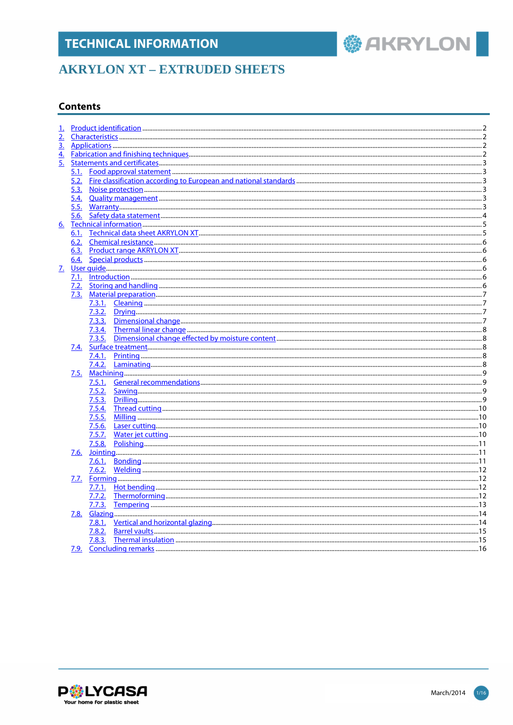### **AKRYLON XT - EXTRUDED SHEETS**

#### **Contents**

| 2.        |              |        |  |
|-----------|--------------|--------|--|
| <u>3.</u> |              |        |  |
| 4.        |              |        |  |
| 5.        |              |        |  |
|           |              |        |  |
|           |              |        |  |
|           | 5.2.         |        |  |
|           | 5.3.<br>5.4. |        |  |
|           |              |        |  |
|           | 5.5.         |        |  |
|           |              |        |  |
| 6.        |              |        |  |
|           | 6.1.         |        |  |
|           |              |        |  |
|           |              |        |  |
|           | 6.4.         |        |  |
|           |              |        |  |
|           |              |        |  |
|           |              |        |  |
|           |              |        |  |
|           |              |        |  |
|           |              |        |  |
|           |              |        |  |
|           |              |        |  |
|           |              | 7.3.5. |  |
|           | 7.4.         |        |  |
|           |              | 7.4.1. |  |
|           |              | 7.4.2. |  |
|           | 7.5.         |        |  |
|           |              | 7.5.1. |  |
|           |              | 7.5.2. |  |
|           |              | 7.5.3. |  |
|           |              | 7.5.4. |  |
|           |              | 7.5.5. |  |
|           |              |        |  |
|           |              | 7.5.7. |  |
|           |              | 7.5.8. |  |
|           |              |        |  |
|           | 7.6.         |        |  |
|           |              |        |  |
|           |              |        |  |
|           |              |        |  |
|           |              |        |  |
|           |              |        |  |
|           |              |        |  |
|           | 7.8.         |        |  |
|           |              |        |  |
|           |              |        |  |
|           |              |        |  |
|           | <u>7.9.</u>  |        |  |





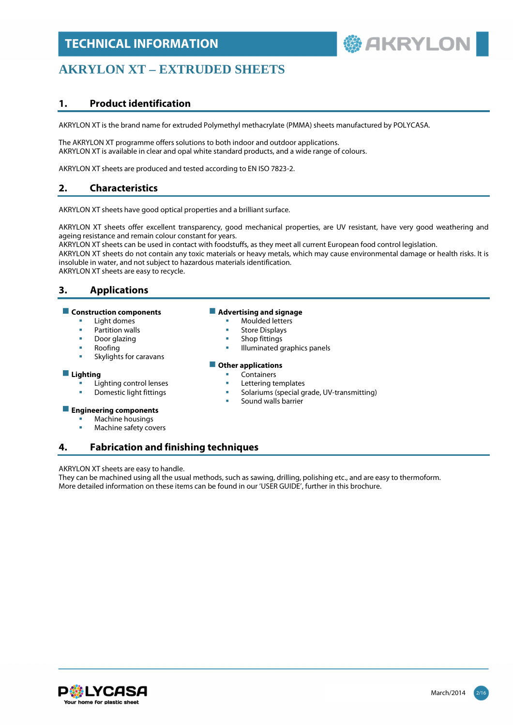# **鬱 AKRYLON**

### **AKRYLON XT – EXTRUDED SHEETS**

#### **1. Product identification**

AKRYLON XT is the brand name for extruded Polymethyl methacrylate (PMMA) sheets manufactured by POLYCASA.

The AKRYLON XT programme offers solutions to both indoor and outdoor applications. AKRYLON XT is available in clear and opal white standard products, and a wide range of colours.

AKRYLON XT sheets are produced and tested according to EN ISO 7823-2.

### **2. Characteristics**

AKRYLON XT sheets have good optical properties and a brilliant surface.

AKRYLON XT sheets offer excellent transparency, good mechanical properties, are UV resistant, have very good weathering and ageing resistance and remain colour constant for years.

AKRYLON XT sheets can be used in contact with foodstuffs, as they meet all current European food control legislation.

AKRYLON XT sheets do not contain any toxic materials or heavy metals, which may cause environmental damage or health risks. It is insoluble in water, and not subject to hazardous materials identification.

AKRYLON XT sheets are easy to recycle.

#### **3. Applications**

#### **E** Construction components **Advertising and signage**

- 
- 
- 
- 
- Skylights for caravans

- **Lighting**<br>
Lighting control lenses<br> **Lighting control lenses**<br> **Lettering templates** 
	- Lighting control lenses<br>Domestic light fittings

#### **Engineering components**

- Machine housings
- Machine safety covers

#### **4. Fabrication and finishing techniques**

#### AKRYLON XT sheets are easy to handle.

They can be machined using all the usual methods, such as sawing, drilling, polishing etc., and are easy to thermoform. More detailed information on these items can be found in our 'USER GUIDE', further in this brochure.



- Light domes **Moulded letters**
- Partition walls **Store Displays CO**
- Door glazing **Shop fittings Shop fittings**
- Roofing **Illuminated graphics panels**

#### **Other applications**

- 
- 
- $\blacksquare$  Solariums (special grade, UV-transmitting)
- Sound walls barrier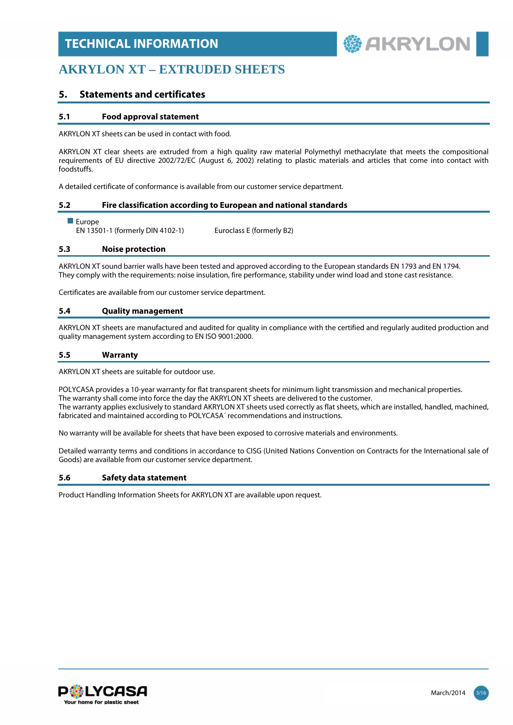**参 AKRYLON** 

### **AKRYLON XT – EXTRUDED SHEETS**

#### **5. Statements and certificates**

#### **5.1 Food approval statement**

AKRYLON XT sheets can be used in contact with food.

AKRYLON XT clear sheets are extruded from a high quality raw material Polymethyl methacrylate that meets the compositional requirements of EU directive 2002/72/EC (August 6, 2002) relating to plastic materials and articles that come into contact with foodstuffs.

A detailed certificate of conformance is available from our customer service department.

#### **5.2 Fire classification according to European and national standards**

#### **Europe**

EN 13501-1 (formerly DIN 4102-1) Euroclass E (formerly B2)

#### **5.3 Noise protection**

AKRYLON XT sound barrier walls have been tested and approved according to the European standards EN 1793 and EN 1794. They comply with the requirements: noise insulation, fire performance, stability under wind load and stone cast resistance.

Certificates are available from our customer service department.

#### **5.4 Quality management**

AKRYLON XT sheets are manufactured and audited for quality in compliance with the certified and regularly audited production and quality management system according to EN ISO 9001:2000.

#### **5.5 Warranty**

AKRYLON XT sheets are suitable for outdoor use.

POLYCASA provides a 10-year warranty for flat transparent sheets for minimum light transmission and mechanical properties. The warranty shall come into force the day the AKRYLON XT sheets are delivered to the customer. The warranty applies exclusively to standard AKRYLON XT sheets used correctly as flat sheets, which are installed, handled, machined, fabricated and maintained according to POLYCASA´ recommendations and instructions.

No warranty will be available for sheets that have been exposed to corrosive materials and environments.

Detailed warranty terms and conditions in accordance to CISG (United Nations Convention on Contracts for the International sale of Goods) are available from our customer service department.

#### **5.6 Safety data statement**

Product Handling Information Sheets for AKRYLON XT are available upon request.

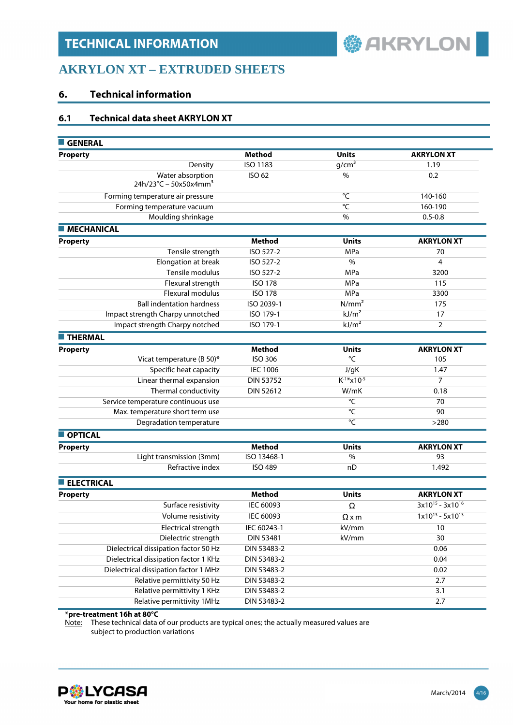

### **AKRYLON XT – EXTRUDED SHEETS**

#### **6. Technical information**

#### **6.1 Technical data sheet AKRYLON XT**

| <b>GENERAL</b>                                                  |                  |                   |                         |
|-----------------------------------------------------------------|------------------|-------------------|-------------------------|
| <b>Property</b>                                                 | <b>Method</b>    | <b>Units</b>      | <b>AKRYLON XT</b>       |
| Density                                                         | <b>ISO 1183</b>  | $g/cm^3$          | 1.19                    |
| Water absorption<br>$24h/23^{\circ}$ C – 50x50x4mm <sup>3</sup> | ISO 62           | $\frac{0}{0}$     | 0.2                     |
| Forming temperature air pressure                                |                  | °C                | 140-160                 |
| Forming temperature vacuum                                      |                  | °C                | 160-190                 |
| Moulding shrinkage                                              |                  | %                 | $0.5 - 0.8$             |
| <b>MECHANICAL</b>                                               |                  |                   |                         |
| <b>Property</b>                                                 | <b>Method</b>    | <b>Units</b>      | <b>AKRYLON XT</b>       |
| Tensile strength                                                | ISO 527-2        | MPa               | 70                      |
| Elongation at break                                             | ISO 527-2        | $\%$              | 4                       |
| Tensile modulus                                                 | ISO 527-2        | MPa               | 3200                    |
| Flexural strength                                               | <b>ISO 178</b>   | MPa               | 115                     |
| <b>Flexural modulus</b>                                         | <b>ISO 178</b>   | MPa               | 3300                    |
| <b>Ball indentation hardness</b>                                | ISO 2039-1       | N/mm <sup>2</sup> | 175                     |
| Impact strength Charpy unnotched                                | ISO 179-1        | kJ/m <sup>2</sup> | 17                      |
| Impact strength Charpy notched                                  | ISO 179-1        | kJ/m <sup>2</sup> | $\overline{2}$          |
| <b>THERMAL</b>                                                  |                  |                   |                         |
| <b>Property</b>                                                 | <b>Method</b>    | <b>Units</b>      | <b>AKRYLON XT</b>       |
| Vicat temperature (B 50)*                                       | ISO 306          | $\overline{C}$    | 105                     |
| Specific heat capacity                                          | <b>IEC 1006</b>  | J/gK              | 1.47                    |
| Linear thermal expansion                                        | <b>DIN 53752</b> | $K^{-1*}$ x10-5   | 7                       |
| Thermal conductivity                                            | <b>DIN 52612</b> | W/mK              | 0.18                    |
| Service temperature continuous use                              |                  | °C                | 70                      |
| Max. temperature short term use                                 |                  | °C                | 90                      |
| Degradation temperature                                         |                  | $^{\circ}$ C      | >280                    |
| <b>OPTICAL</b>                                                  |                  |                   |                         |
| <b>Property</b>                                                 | <b>Method</b>    | <b>Units</b>      | <b>AKRYLON XT</b>       |
| Light transmission (3mm)                                        | ISO 13468-1      | $\%$              | 93                      |
| Refractive index                                                | <b>ISO 489</b>   | nD                | 1.492                   |
| <b>ELECTRICAL</b>                                               |                  |                   |                         |
| <b>Property</b>                                                 | <b>Method</b>    | <b>Units</b>      | <b>AKRYLON XT</b>       |
| Surface resistivity                                             | IEC 60093        | Ω                 | $3x10^{15} - 3x10^{16}$ |
| Volume resistivity                                              | IEC 60093        | $\Omega$ x m      | $1x10^{13} - 5x10^{13}$ |
| Electrical strength                                             | IEC 60243-1      | kV/mm             | 10                      |
| Dielectric strength                                             | <b>DIN 53481</b> | kV/mm             | 30                      |
| Dielectrical dissipation factor 50 Hz                           | DIN 53483-2      |                   | 0.06                    |
| Dielectrical dissipation factor 1 KHz                           | DIN 53483-2      |                   | 0.04                    |
| Dielectrical dissipation factor 1 MHz                           | DIN 53483-2      |                   | 0.02                    |
| Relative permittivity 50 Hz                                     | DIN 53483-2      |                   | 2.7                     |
| Relative permittivity 1 KHz                                     | DIN 53483-2      |                   | 3.1                     |
| Relative permittivity 1MHz                                      | DIN 53483-2      |                   | 2.7                     |

**\*pre-treatment 16h at 80°C** 

Note: These technical data of our products are typical ones; the actually measured values are subject to production variations

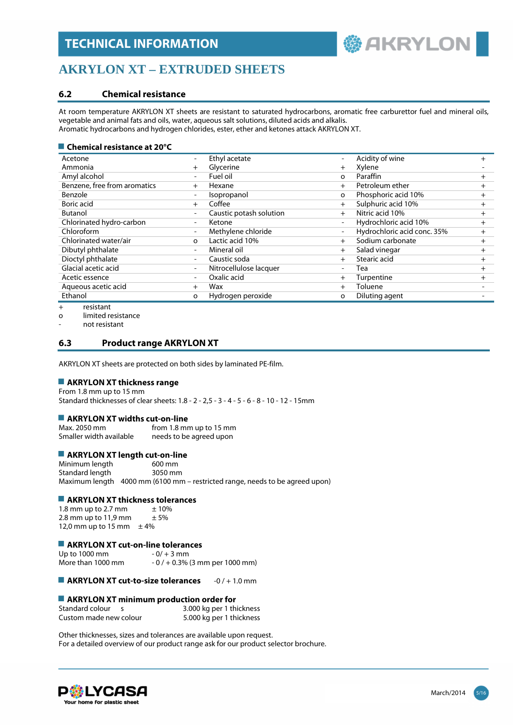

### **AKRYLON XT – EXTRUDED SHEETS**

#### **6.2 Chemical resistance**

At room temperature AKRYLON XT sheets are resistant to saturated hydrocarbons, aromatic free carburettor fuel and mineral oils, vegetable and animal fats and oils, water, aqueous salt solutions, diluted acids and alkalis. Aromatic hydrocarbons and hydrogen chlorides, ester, ether and ketones attack AKRYLON XT.

#### ■ Chemical resistance at 20<sup>°</sup>C

| Acetone                      | $\overline{\phantom{a}}$ | Ethyl acetate           |                          | Acidity of wine             | $\pm$  |
|------------------------------|--------------------------|-------------------------|--------------------------|-----------------------------|--------|
| Ammonia                      | $^{+}$                   | Glycerine               | $+$                      | Xylene                      |        |
| Amyl alcohol                 | $\overline{\phantom{0}}$ | Fuel oil                | $\Omega$                 | Paraffin                    | $^+$   |
| Benzene, free from aromatics | $^{+}$                   | Hexane                  | $^{+}$                   | Petroleum ether             | $^+$   |
| Benzole                      | $\overline{\phantom{0}}$ | Isopropanol             | $\circ$                  | Phosphoric acid 10%         | $^{+}$ |
| Boric acid                   | $^{+}$                   | Coffee                  | $+$                      | Sulphuric acid 10%          | $^+$   |
| <b>Butanol</b>               | $\overline{\phantom{a}}$ | Caustic potash solution | $+$                      | Nitric acid 10%             | $^+$   |
| Chlorinated hydro-carbon     | $\overline{\phantom{a}}$ | Ketone                  | $\overline{\phantom{a}}$ | Hydrochloric acid 10%       | $^{+}$ |
| Chloroform                   | $\overline{\phantom{a}}$ | Methylene chloride      | $\overline{\phantom{0}}$ | Hydrochloric acid conc. 35% | $^{+}$ |
| Chlorinated water/air        | $\Omega$                 | Lactic acid 10%         | $^{+}$                   | Sodium carbonate            | $^{+}$ |
| Dibutyl phthalate            | $\overline{\phantom{a}}$ | Mineral oil             | $^{+}$                   | Salad vinegar               | $^{+}$ |
| Dioctyl phthalate            | $\overline{\phantom{a}}$ | Caustic soda            | $^{+}$                   | Stearic acid                | $^{+}$ |
| Glacial acetic acid          | $\overline{\phantom{a}}$ | Nitrocellulose lacquer  |                          | Tea                         | $\pm$  |
| Acetic essence               | $\overline{\phantom{a}}$ | Oxalic acid             | $^{+}$                   | Turpentine                  | $^{+}$ |
| Aqueous acetic acid          | $^{+}$                   | Wax                     | $^{+}$                   | Toluene                     |        |
| Ethanol                      | о                        | Hydrogen peroxide       | $\circ$                  | Diluting agent              |        |
| resistant                    |                          |                         |                          |                             |        |

esistant

o limited resistance

- not resistant

#### **6.3 Product range AKRYLON XT**

AKRYLON XT sheets are protected on both sides by laminated PE-film.

#### **AKRYLON XT thickness range**

From 1.8 mm up to 15 mm Standard thicknesses of clear sheets: 1.8 - 2 - 2,5 - 3 - 4 - 5 - 6 - 8 - 10 - 12 - 15mm

## **AKRYLON XT widths cut-on-line**<br>Max. 2050 mm from 1.8 mm

from 1.8 mm up to 15 mm Smaller width available needs to be agreed upon

## **AKRYLON XT length cut-on-line**<br>Minimum length 600 mm

Minimum length Standard length 3050 mm Maximum length 4000 mm (6100 mm – restricted range, needs to be agreed upon)

#### **AKRYLON XT thickness tolerances**

1.8 mm up to 2.7 mm  $\pm 10\%$ <br>2.8 mm up to 11.9 mm  $\pm 5\%$  $2.8$  mm up to  $11,9$  mm 12,0 mm up to 15 mm  $\pm$  4%

### **AKRYLON XT cut-on-line tolerances**<br>Up to 1000 mm<br>- 0/ + 3 mm

Up to 1000 mm More than 1000 mm  $-0/ + 0.3%$  (3 mm per 1000 mm)

**AKRYLON XT cut-to-size tolerances** -0 / + 1.0 mm

#### **AKRYLON XT minimum production order for**

| Standard colour        | 3.000 kg per 1 thickness |
|------------------------|--------------------------|
| Custom made new colour | 5.000 kg per 1 thickness |

Other thicknesses, sizes and tolerances are available upon request. For a detailed overview of our product range ask for our product selector brochure.

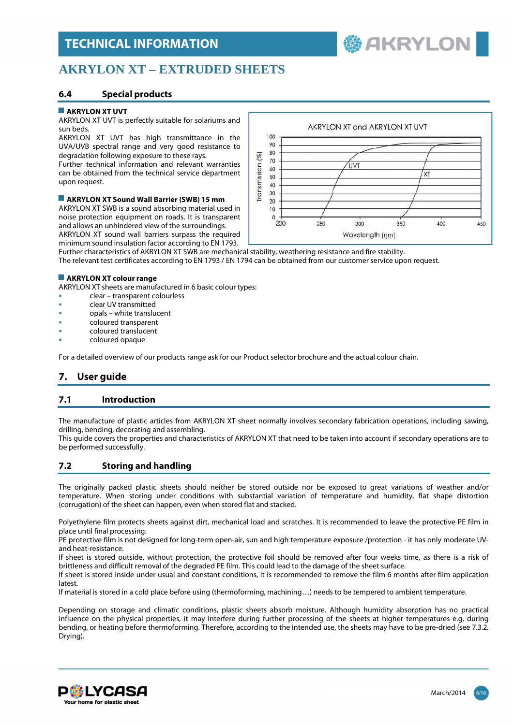**鬱 AKRYLON** 

### **AKRYLON XT – EXTRUDED SHEETS**

#### **6.4 Special products**

#### **AKRYLON XT UVT**

AKRYLON XT UVT is perfectly suitable for solariums and sun beds.

AKRYLON XT UVT has high transmittance in the UVA/UVB spectral range and very good resistance to degradation following exposure to these rays.

Further technical information and relevant warranties can be obtained from the technical service department upon request.

#### **AKRYLON XT Sound Wall Barrier (SWB) 15 mm**

AKRYLON XT SWB is a sound absorbing material used in noise protection equipment on roads. It is transparent and allows an unhindered view of the surroundings. AKRYLON XT sound wall barriers surpass the required minimum sound insulation factor according to EN 1793.



Further characteristics of AKRYLON XT SWB are mechanical stability, weathering resistance and fire stability. The relevant test certificates according to EN 1793 / EN 1794 can be obtained from our customer service upon request.

#### **AKRYLON XT colour range**

AKRYLON XT sheets are manufactured in 6 basic colour types:

- clear transparent colourless
- clear UV transmitted
- opals white translucent
- coloured transparent
- coloured translucent
- coloured opaque

For a detailed overview of our products range ask for our Product selector brochure and the actual colour chain.

### **7. User guide**

#### **7.1 Introduction**

The manufacture of plastic articles from AKRYLON XT sheet normally involves secondary fabrication operations, including sawing, drilling, bending, decorating and assembling.

This guide covers the properties and characteristics of AKRYLON XT that need to be taken into account if secondary operations are to be performed successfully.

#### **7.2 Storing and handling**

The originally packed plastic sheets should neither be stored outside nor be exposed to great variations of weather and/or temperature. When storing under conditions with substantial variation of temperature and humidity, flat shape distortion (corrugation) of the sheet can happen, even when stored flat and stacked.

Polyethylene film protects sheets against dirt, mechanical load and scratches. It is recommended to leave the protective PE film in place until final processing.

PE protective film is not designed for long-term open-air, sun and high temperature exposure /protection - it has only moderate UVand heat-resistance.

If sheet is stored outside, without protection, the protective foil should be removed after four weeks time, as there is a risk of brittleness and difficult removal of the degraded PE film. This could lead to the damage of the sheet surface.

If sheet is stored inside under usual and constant conditions, it is recommended to remove the film 6 months after film application **latest** 

If material is stored in a cold place before using (thermoforming, machining…) needs to be tempered to ambient temperature.

Depending on storage and climatic conditions, plastic sheets absorb moisture. Although humidity absorption has no practical influence on the physical properties, it may interfere during further processing of the sheets at higher temperatures e.g. during bending, or heating before thermoforming. Therefore, according to the intended use, the sheets may have to be pre-dried (see 7.3.2. Drying).

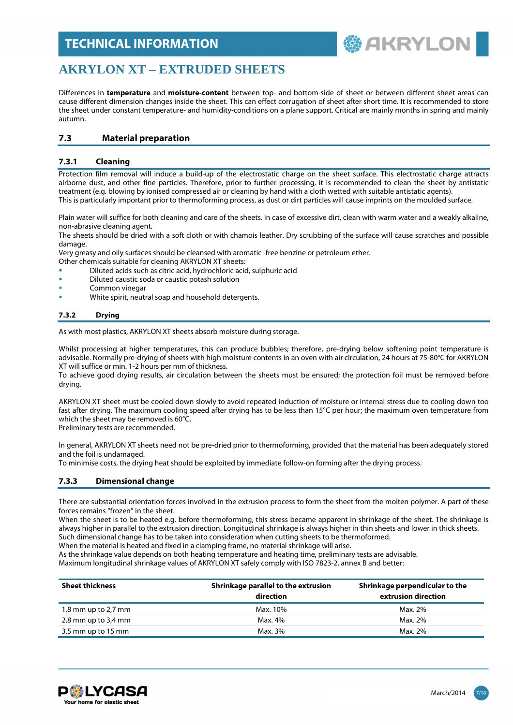

### **AKRYLON XT – EXTRUDED SHEETS**

Differences in **temperature** and **moisture-content** between top- and bottom-side of sheet or between different sheet areas can cause different dimension changes inside the sheet. This can effect corrugation of sheet after short time. It is recommended to store the sheet under constant temperature- and humidity-conditions on a plane support. Critical are mainly months in spring and mainly autumn.

#### **7.3 Material preparation**

#### **7.3.1 Cleaning**

Protection film removal will induce a build-up of the electrostatic charge on the sheet surface. This electrostatic charge attracts airborne dust, and other fine particles. Therefore, prior to further processing, it is recommended to clean the sheet by antistatic treatment (e.g. blowing by ionised compressed air or cleaning by hand with a cloth wetted with suitable antistatic agents). This is particularly important prior to thermoforming process, as dust or dirt particles will cause imprints on the moulded surface.

Plain water will suffice for both cleaning and care of the sheets. In case of excessive dirt, clean with warm water and a weakly alkaline, non-abrasive cleaning agent.

The sheets should be dried with a soft cloth or with chamois leather. Dry scrubbing of the surface will cause scratches and possible damage.

Very greasy and oily surfaces should be cleansed with aromatic -free benzine or petroleum ether.

- Other chemicals suitable for cleaning AKRYLON XT sheets:
- Diluted acids such as citric acid, hydrochloric acid, sulphuric acid
- Diluted caustic soda or caustic potash solution
- Common vinegar
- White spirit, neutral soap and household detergents.

#### **7.3.2 Drying**

As with most plastics, AKRYLON XT sheets absorb moisture during storage.

Whilst processing at higher temperatures, this can produce bubbles; therefore, pre-drying below softening point temperature is advisable. Normally pre-drying of sheets with high moisture contents in an oven with air circulation, 24 hours at 75-80°C for AKRYLON XT will suffice or min. 1-2 hours per mm of thickness.

To achieve good drying results, air circulation between the sheets must be ensured; the protection foil must be removed before drying.

AKRYLON XT sheet must be cooled down slowly to avoid repeated induction of moisture or internal stress due to cooling down too fast after drying. The maximum cooling speed after drying has to be less than 15°C per hour; the maximum oven temperature from which the sheet may be removed is 60°C.

Preliminary tests are recommended.

In general, AKRYLON XT sheets need not be pre-dried prior to thermoforming, provided that the material has been adequately stored and the foil is undamaged.

To minimise costs, the drying heat should be exploited by immediate follow-on forming after the drying process.

#### **7.3.3 Dimensional change**

There are substantial orientation forces involved in the extrusion process to form the sheet from the molten polymer. A part of these forces remains "frozen" in the sheet.

When the sheet is to be heated e.g. before thermoforming, this stress became apparent in shrinkage of the sheet. The shrinkage is always higher in parallel to the extrusion direction. Longitudinal shrinkage is always higher in thin sheets and lower in thick sheets. Such dimensional change has to be taken into consideration when cutting sheets to be thermoformed.

When the material is heated and fixed in a clamping frame, no material shrinkage will arise.

As the shrinkage value depends on both heating temperature and heating time, preliminary tests are advisable.

Maximum longitudinal shrinkage values of AKRYLON XT safely comply with ISO 7823-2, annex B and better:

| <b>Sheet thickness</b> | Shrinkage parallel to the extrusion<br>direction | Shrinkage perpendicular to the<br>extrusion direction |  |  |
|------------------------|--------------------------------------------------|-------------------------------------------------------|--|--|
| $1,8$ mm up to 2,7 mm  | Max. 10%                                         | Max. 2%                                               |  |  |
| 2,8 mm up to 3,4 mm    | Max. 4%                                          | Max. 2%                                               |  |  |
| 3,5 mm up to 15 mm     | Max. 3%                                          | Max. 2%                                               |  |  |

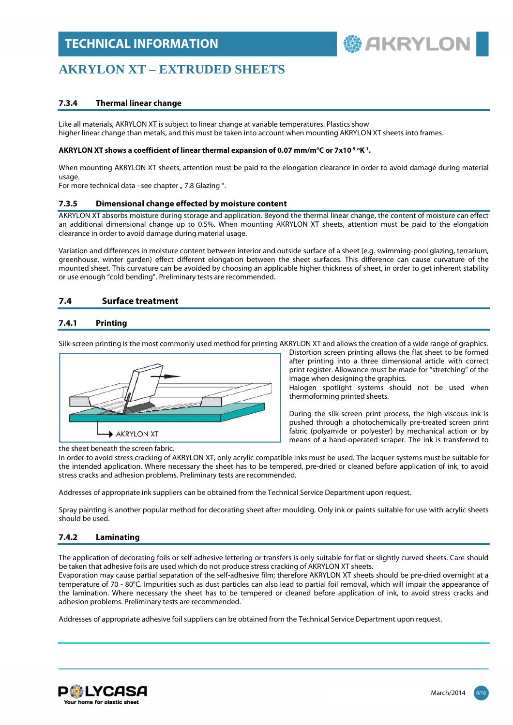

### **AKRYLON XT – EXTRUDED SHEETS**

#### **7.3.4 Thermal linear change**

Like all materials, AKRYLON XT is subject to linear change at variable temperatures. Plastics show higher linear change than metals, and this must be taken into account when mounting AKRYLON XT sheets into frames.

#### **AKRYLON XT shows a coefficient of linear thermal expansion of 0.07 mm/m°C or 7x10-5 <sup>o</sup>K -1 .**

When mounting AKRYLON XT sheets, attention must be paid to the elongation clearance in order to avoid damage during material usage

For more technical data - see chapter " 7.8 Glazing ".

#### **7.3.5 Dimensional change effected by moisture content**

AKRYLON XT absorbs moisture during storage and application. Beyond the thermal linear change, the content of moisture can effect an additional dimensional change up to 0.5%. When mounting AKRYLON XT sheets, attention must be paid to the elongation clearance in order to avoid damage during material usage.

Variation and differences in moisture content between interior and outside surface of a sheet (e.g. swimming-pool glazing, terrarium, greenhouse, winter garden) effect different elongation between the sheet surfaces. This difference can cause curvature of the mounted sheet. This curvature can be avoided by choosing an applicable higher thickness of sheet, in order to get inherent stability or use enough "cold bending". Preliminary tests are recommended.

#### **7.4 Surface treatment**

#### **7.4.1 Printing**

Silk-screen printing is the most commonly used method for printing AKRYLON XT and allows the creation of a wide range of graphics.



Distortion screen printing allows the flat sheet to be formed after printing into a three dimensional article with correct print register. Allowance must be made for "stretching" of the image when designing the graphics.

Halogen spotlight systems should not be used when thermoforming printed sheets.

During the silk-screen print process, the high-viscous ink is pushed through a photochemically pre-treated screen print fabric (polyamide or polyester) by mechanical action or by means of a hand-operated scraper. The ink is transferred to

the sheet beneath the screen fabric.

In order to avoid stress cracking of AKRYLON XT, only acrylic compatible inks must be used. The lacquer systems must be suitable for the intended application. Where necessary the sheet has to be tempered, pre-dried or cleaned before application of ink, to avoid stress cracks and adhesion problems. Preliminary tests are recommended.

Addresses of appropriate ink suppliers can be obtained from the Technical Service Department upon request.

Spray painting is another popular method for decorating sheet after moulding. Only ink or paints suitable for use with acrylic sheets should be used.

#### **7.4.2 Laminating**

The application of decorating foils or self-adhesive lettering or transfers is only suitable for flat or slightly curved sheets. Care should be taken that adhesive foils are used which do not produce stress cracking of AKRYLON XT sheets.

Evaporation may cause partial separation of the self-adhesive film; therefore AKRYLON XT sheets should be pre-dried overnight at a temperature of 70 - 80°C. Impurities such as dust particles can also lead to partial foil removal, which will impair the appearance of the lamination. Where necessary the sheet has to be tempered or cleaned before application of ink, to avoid stress cracks and adhesion problems. Preliminary tests are recommended.

Addresses of appropriate adhesive foil suppliers can be obtained from the Technical Service Department upon request.

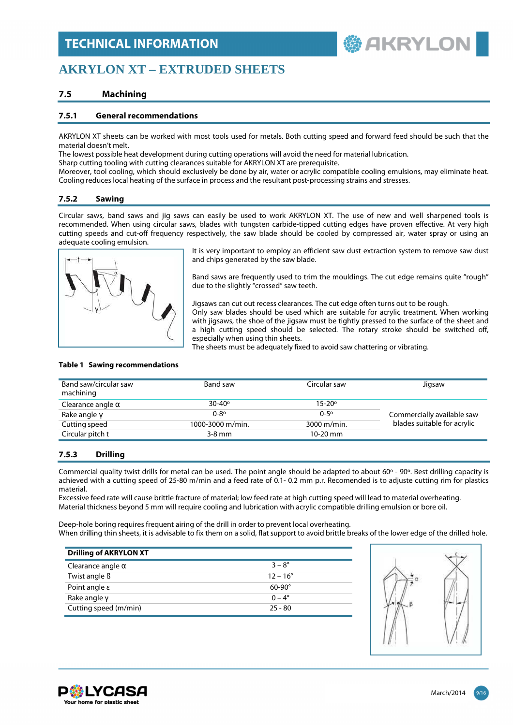**AKRYLO** 

### **AKRYLON XT – EXTRUDED SHEETS**

#### **7.5 Machining**

#### **7.5.1 General recommendations**

AKRYLON XT sheets can be worked with most tools used for metals. Both cutting speed and forward feed should be such that the material doesn't melt.

The lowest possible heat development during cutting operations will avoid the need for material lubrication.

Sharp cutting tooling with cutting clearances suitable for AKRYLON XT are prerequisite.

Moreover, tool cooling, which should exclusively be done by air, water or acrylic compatible cooling emulsions, may eliminate heat. Cooling reduces local heating of the surface in process and the resultant post-processing strains and stresses.

#### **7.5.2 Sawing**

Circular saws, band saws and jig saws can easily be used to work AKRYLON XT. The use of new and well sharpened tools is recommended. When using circular saws, blades with tungsten carbide-tipped cutting edges have proven effective. At very high cutting speeds and cut-off frequency respectively, the saw blade should be cooled by compressed air, water spray or using an adequate cooling emulsion.



It is very important to employ an efficient saw dust extraction system to remove saw dust and chips generated by the saw blade.

Band saws are frequently used to trim the mouldings. The cut edge remains quite "rough" due to the slightly "crossed" saw teeth.

Jigsaws can cut out recess clearances. The cut edge often turns out to be rough.

Only saw blades should be used which are suitable for acrylic treatment. When working with jigsaws, the shoe of the jigsaw must be tightly pressed to the surface of the sheet and a high cutting speed should be selected. The rotary stroke should be switched off, especially when using thin sheets.

The sheets must be adequately fixed to avoid saw chattering or vibrating.

| Band saw/circular saw<br>machining | Band saw          | Circular saw      | Jigsaw                      |
|------------------------------------|-------------------|-------------------|-----------------------------|
| Clearance angle $\alpha$           | $30 - 40^{\circ}$ | $15 - 20^{\circ}$ |                             |
| Rake angle $\gamma$                | $0 - 8^{\circ}$   | $0 - 5^{\circ}$   | Commercially available saw  |
| Cutting speed                      | 1000-3000 m/min.  | 3000 m/min.       | blades suitable for acrylic |
| Circular pitch t                   | $3-8$ mm          | $10-20$ mm        |                             |

#### **Table 1 Sawing recommendations**

#### **7.5.3 Drilling**

Commercial quality twist drills for metal can be used. The point angle should be adapted to about 60º - 90º. Best drilling capacity is achieved with a cutting speed of 25-80 m/min and a feed rate of 0.1- 0.2 mm p.r. Recomended is to adjuste cutting rim for plastics material.

Excessive feed rate will cause brittle fracture of material; low feed rate at high cutting speed will lead to material overheating. Material thickness beyond 5 mm will require cooling and lubrication with acrylic compatible drilling emulsion or bore oil.

Deep-hole boring requires frequent airing of the drill in order to prevent local overheating. When drilling thin sheets, it is advisable to fix them on a solid, flat support to avoid brittle breaks of the lower edge of the drilled hole.

| <b>Drilling of AKRYLON XT</b> |                   |
|-------------------------------|-------------------|
| Clearance angle $\alpha$      | $3 - 8^{\circ}$   |
| Twist angle ß                 | $12 - 16^{\circ}$ |
| Point angle $\varepsilon$     | $60-90^\circ$     |
| Rake angle $y$                | $0 - 4^{\circ}$   |
| Cutting speed (m/min)         | $25 - 80$         |



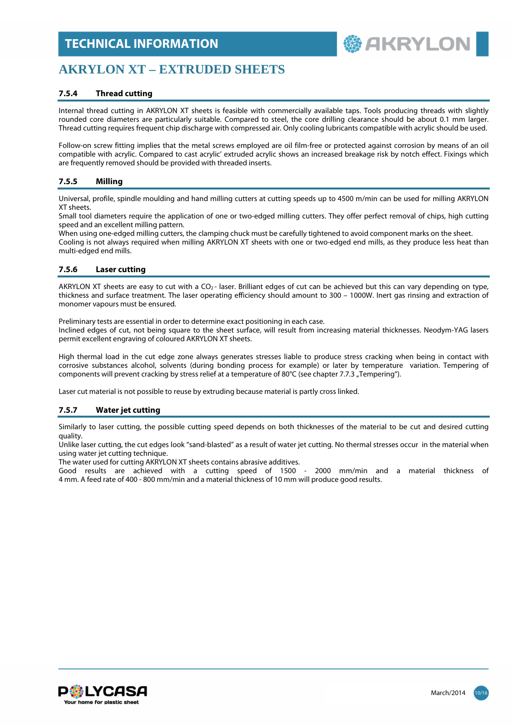

### **AKRYLON XT – EXTRUDED SHEETS**

#### **7.5.4 Thread cutting**

Internal thread cutting in AKRYLON XT sheets is feasible with commercially available taps. Tools producing threads with slightly rounded core diameters are particularly suitable. Compared to steel, the core drilling clearance should be about 0.1 mm larger. Thread cutting requires frequent chip discharge with compressed air. Only cooling lubricants compatible with acrylic should be used.

Follow-on screw fitting implies that the metal screws employed are oil film-free or protected against corrosion by means of an oil compatible with acrylic. Compared to cast acrylic' extruded acrylic shows an increased breakage risk by notch effect. Fixings which are frequently removed should be provided with threaded inserts.

#### **7.5.5 Milling**

Universal, profile, spindle moulding and hand milling cutters at cutting speeds up to 4500 m/min can be used for milling AKRYLON XT sheets.

Small tool diameters require the application of one or two-edged milling cutters. They offer perfect removal of chips, high cutting speed and an excellent milling pattern.

When using one-edged milling cutters, the clamping chuck must be carefully tightened to avoid component marks on the sheet. Cooling is not always required when milling AKRYLON XT sheets with one or two-edged end mills, as they produce less heat than multi-edged end mills.

#### **7.5.6 Laser cutting**

AKRYLON XT sheets are easy to cut with a CO<sub>2</sub>- laser. Brilliant edges of cut can be achieved but this can vary depending on type, thickness and surface treatment. The laser operating efficiency should amount to 300 – 1000W. Inert gas rinsing and extraction of monomer vapours must be ensured.

Preliminary tests are essential in order to determine exact positioning in each case.

Inclined edges of cut, not being square to the sheet surface, will result from increasing material thicknesses. Neodym-YAG lasers permit excellent engraving of coloured AKRYLON XT sheets.

High thermal load in the cut edge zone always generates stresses liable to produce stress cracking when being in contact with corrosive substances alcohol, solvents (during bonding process for example) or later by temperature variation. Tempering of components will prevent cracking by stress relief at a temperature of 80°C (see chapter 7.7.3 "Tempering").

Laser cut material is not possible to reuse by extruding because material is partly cross linked.

#### **7.5.7 Water jet cutting**

Similarly to laser cutting, the possible cutting speed depends on both thicknesses of the material to be cut and desired cutting quality.

Unlike laser cutting, the cut edges look "sand-blasted" as a result of water jet cutting. No thermal stresses occur in the material when using water jet cutting technique.

The water used for cutting AKRYLON XT sheets contains abrasive additives.

Good results are achieved with a cutting speed of 1500 - 2000 mm/min and a material thickness of 4 mm. A feed rate of 400 - 800 mm/min and a material thickness of 10 mm will produce good results.

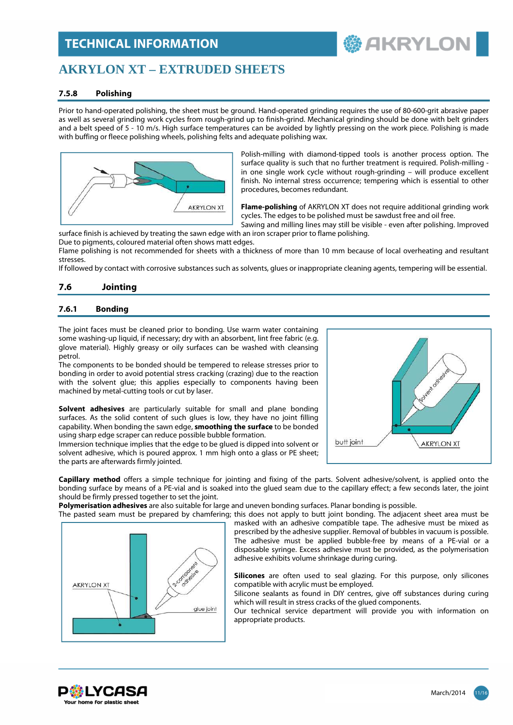### **AKRYLON XT – EXTRUDED SHEETS**

#### **7.5.8 Polishing**

Prior to hand-operated polishing, the sheet must be ground. Hand-operated grinding requires the use of 80-600-grit abrasive paper as well as several grinding work cycles from rough-grind up to finish-grind. Mechanical grinding should be done with belt grinders and a belt speed of 5 - 10 m/s. High surface temperatures can be avoided by lightly pressing on the work piece. Polishing is made with buffing or fleece polishing wheels, polishing felts and adequate polishing wax.



Polish-milling with diamond-tipped tools is another process option. The surface quality is such that no further treatment is required. Polish-milling in one single work cycle without rough-grinding – will produce excellent finish. No internal stress occurrence; tempering which is essential to other procedures, becomes redundant.

**鬱 AKRYLON** 

**Flame-polishing** of AKRYLON XT does not require additional grinding work cycles. The edges to be polished must be sawdust free and oil free.

Sawing and milling lines may still be visible - even after polishing. Improved surface finish is achieved by treating the sawn edge with an iron scraper prior to flame polishing.

Due to pigments, coloured material often shows matt edges.

Flame polishing is not recommended for sheets with a thickness of more than 10 mm because of local overheating and resultant stresses.

If followed by contact with corrosive substances such as solvents, glues or inappropriate cleaning agents, tempering will be essential.

#### **7.6 Jointing**

#### **7.6.1 Bonding**

The joint faces must be cleaned prior to bonding. Use warm water containing some washing-up liquid, if necessary; dry with an absorbent, lint free fabric (e.g. glove material). Highly greasy or oily surfaces can be washed with cleansing petrol.

The components to be bonded should be tempered to release stresses prior to bonding in order to avoid potential stress cracking (crazing) due to the reaction with the solvent glue; this applies especially to components having been machined by metal-cutting tools or cut by laser.

**Solvent adhesives** are particularly suitable for small and plane bonding surfaces. As the solid content of such glues is low, they have no joint filling capability. When bonding the sawn edge, **smoothing the surface** to be bonded using sharp edge scraper can reduce possible bubble formation.

Immersion technique implies that the edge to be glued is dipped into solvent or solvent adhesive, which is poured approx. 1 mm high onto a glass or PE sheet; the parts are afterwards firmly jointed.



**Capillary method** offers a simple technique for jointing and fixing of the parts. Solvent adhesive/solvent, is applied onto the bonding surface by means of a PE-vial and is soaked into the glued seam due to the capillary effect; a few seconds later, the joint should be firmly pressed together to set the joint.

**Polymerisation adhesives** are also suitable for large and uneven bonding surfaces. Planar bonding is possible.

The pasted seam must be prepared by chamfering; this does not apply to butt joint bonding. The adjacent sheet area must be



masked with an adhesive compatible tape. The adhesive must be mixed as prescribed by the adhesive supplier. Removal of bubbles in vacuum is possible. The adhesive must be applied bubble-free by means of a PE-vial or a disposable syringe. Excess adhesive must be provided, as the polymerisation adhesive exhibits volume shrinkage during curing.

**Silicones** are often used to seal glazing. For this purpose, only silicones compatible with acrylic must be employed.

Silicone sealants as found in DIY centres, give off substances during curing which will result in stress cracks of the glued components.

Our technical service department will provide you with information on appropriate products.

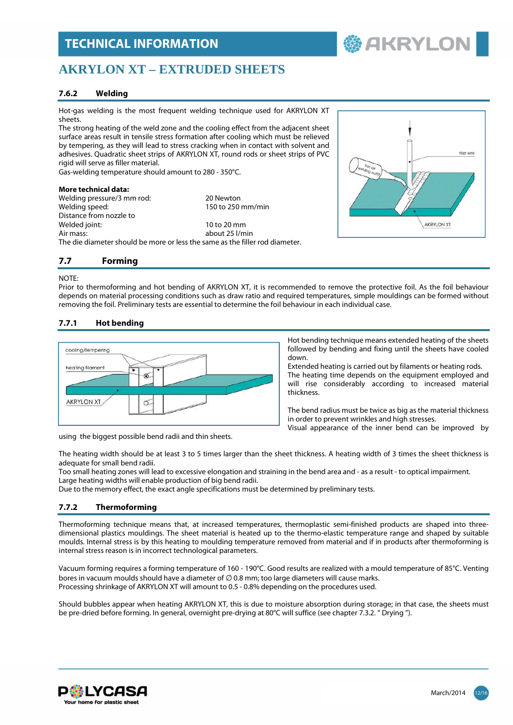### **AKRYLON XT – EXTRUDED SHEETS**

#### **7.6.2 Welding**

Hot-gas welding is the most frequent welding technique used for AKRYLON XT sheets.

The strong heating of the weld zone and the cooling effect from the adjacent sheet surface areas result in tensile stress formation after cooling which must be relieved by tempering, as they will lead to stress cracking when in contact with solvent and adhesives. Quadratic sheet strips of AKRYLON XT, round rods or sheet strips of PVC rigid will serve as filler material.

Gas-welding temperature should amount to 280 - 350°C.

#### **More technical data:**

Welding pressure/3 mm rod: 20 Newton Welding speed: 150 to 250 mm/min Distance from nozzle to Welded joint: 10 to 20 mm Air mass: about 25 l/min The die diameter should be more or less the same as the filler rod diameter.



**鬱 AKRYLOI** 

#### **7.7 Forming**

#### NOTE:

Prior to thermoforming and hot bending of AKRYLON XT, it is recommended to remove the protective foil. As the foil behaviour depends on material processing conditions such as draw ratio and required temperatures, simple mouldings can be formed without removing the foil. Preliminary tests are essential to determine the foil behaviour in each individual case.

#### **7.7.1 Hot bending**



down. Extended heating is carried out by filaments or heating rods. The heating time depends on the equipment employed and

will rise considerably according to increased material thickness.

Hot bending technique means extended heating of the sheets followed by bending and fixing until the sheets have cooled

The bend radius must be twice as big as the material thickness in order to prevent wrinkles and high stresses.

Visual appearance of the inner bend can be improved by

using the biggest possible bend radii and thin sheets.

The heating width should be at least 3 to 5 times larger than the sheet thickness. A heating width of 3 times the sheet thickness is adequate for small bend radii.

Too small heating zones will lead to excessive elongation and straining in the bend area and - as a result - to optical impairment. Large heating widths will enable production of big bend radii.

Due to the memory effect, the exact angle specifications must be determined by preliminary tests.

#### **7.7.2 Thermoforming**

Thermoforming technique means that, at increased temperatures, thermoplastic semi-finished products are shaped into threedimensional plastics mouldings. The sheet material is heated up to the thermo-elastic temperature range and shaped by suitable moulds. Internal stress is by this heating to moulding temperature removed from material and if in products after thermoforming is internal stress reason is in incorrect technological parameters.

Vacuum forming requires a forming temperature of 160 - 190°C. Good results are realized with a mould temperature of 85°C. Venting bores in vacuum moulds should have a diameter of  $\varnothing$  0.8 mm; too large diameters will cause marks. Processing shrinkage of AKRYLON XT will amount to 0.5 - 0.8% depending on the procedures used.

Should bubbles appear when heating AKRYLON XT, this is due to moisture absorption during storage; in that case, the sheets must be pre-dried before forming. In general, overnight pre-drying at 80°C will suffice (see chapter 7.3.2. " Drying ").

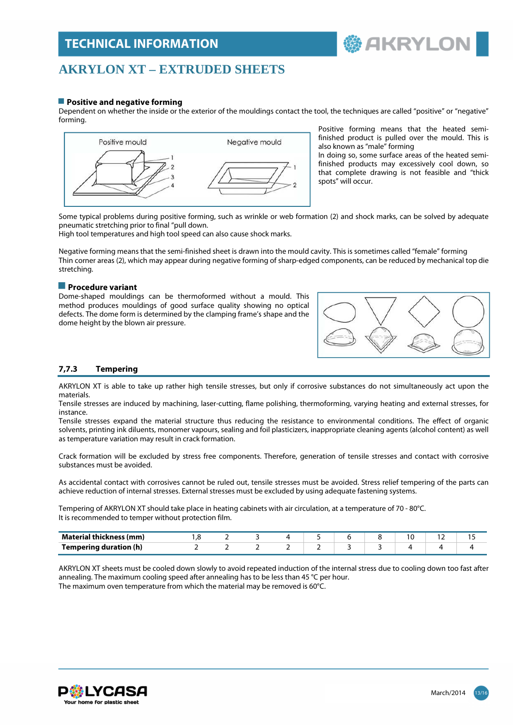### **AKRYLON XT – EXTRUDED SHEETS**

#### **Positive and negative forming**

Dependent on whether the inside or the exterior of the mouldings contact the tool, the techniques are called "positive" or "negative" forming.



Positive forming means that the heated semifinished product is pulled over the mould. This is also known as "male" forming

 **AKRYLON** 

In doing so, some surface areas of the heated semifinished products may excessively cool down, so that complete drawing is not feasible and "thick spots" will occur.

Some typical problems during positive forming, such as wrinkle or web formation (2) and shock marks, can be solved by adequate pneumatic stretching prior to final "pull down.

High tool temperatures and high tool speed can also cause shock marks.

Negative forming means that the semi-finished sheet is drawn into the mould cavity. This is sometimes called "female" forming Thin corner areas (2), which may appear during negative forming of sharp-edged components, can be reduced by mechanical top die stretching.

#### **Procedure variant**

Dome-shaped mouldings can be thermoformed without a mould. This method produces mouldings of good surface quality showing no optical defects. The dome form is determined by the clamping frame's shape and the dome height by the blown air pressure.



#### **7,7.3 Tempering**

AKRYLON XT is able to take up rather high tensile stresses, but only if corrosive substances do not simultaneously act upon the materials.

Tensile stresses are induced by machining, laser-cutting, flame polishing, thermoforming, varying heating and external stresses, for instance.

Tensile stresses expand the material structure thus reducing the resistance to environmental conditions. The effect of organic solvents, printing ink diluents, monomer vapours, sealing and foil plasticizers, inappropriate cleaning agents (alcohol content) as well as temperature variation may result in crack formation.

Crack formation will be excluded by stress free components. Therefore, generation of tensile stresses and contact with corrosive substances must be avoided.

As accidental contact with corrosives cannot be ruled out, tensile stresses must be avoided. Stress relief tempering of the parts can achieve reduction of internal stresses. External stresses must be excluded by using adequate fastening systems.

Tempering of AKRYLON XT should take place in heating cabinets with air circulation, at a temperature of 70 - 80°C. It is recommended to temper without protection film.

| <b>Material thickness (mm)</b> |  |  |  | <b>U</b> |  |
|--------------------------------|--|--|--|----------|--|
| <b>Tempering duration (h)</b>  |  |  |  |          |  |

AKRYLON XT sheets must be cooled down slowly to avoid repeated induction of the internal stress due to cooling down too fast after annealing. The maximum cooling speed after annealing has to be less than 45 °C per hour. The maximum oven temperature from which the material may be removed is 60°C.

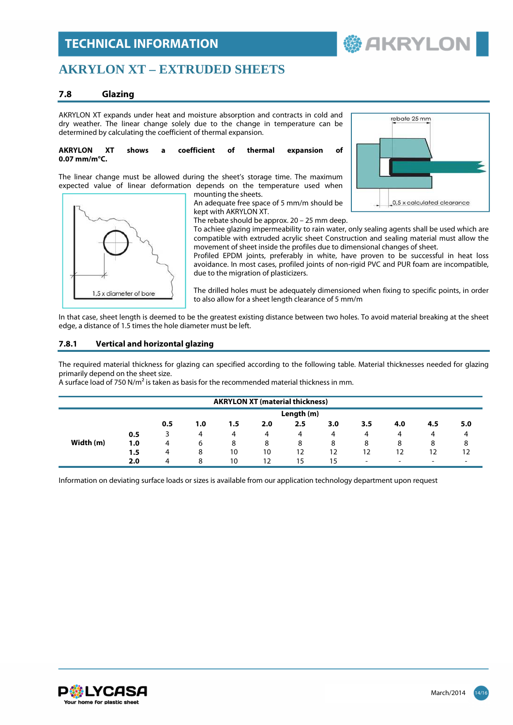### **AKRYLON XT – EXTRUDED SHEETS**

#### **7.8 Glazing**

AKRYLON XT expands under heat and moisture absorption and contracts in cold and dry weather. The linear change solely due to the change in temperature can be determined by calculating the coefficient of thermal expansion.

#### **AKRYLON XT shows a coefficient of thermal expansion of 0.07 mm/m°C.**

The linear change must be allowed during the sheet's storage time. The maximum expected value of linear deformation depends on the temperature used when mounting the sheets.



An adequate free space of 5 mm/m should be kept with AKRYLON XT.



**鬱 AKRYLOI** 

The rebate should be approx. 20 – 25 mm deep.

To achiee glazing impermeability to rain water, only sealing agents shall be used which are compatible with extruded acrylic sheet Construction and sealing material must allow the movement of sheet inside the profiles due to dimensional changes of sheet.

Profiled EPDM joints, preferably in white, have proven to be successful in heat loss avoidance. In most cases, profiled joints of non-rigid PVC and PUR foam are incompatible, due to the migration of plasticizers.

The drilled holes must be adequately dimensioned when fixing to specific points, in order to also allow for a sheet length clearance of 5 mm/m

In that case, sheet length is deemed to be the greatest existing distance between two holes. To avoid material breaking at the sheet edge, a distance of 1.5 times the hole diameter must be left.

#### **7.8.1 Vertical and horizontal glazing**

The required material thickness for glazing can specified according to the following table. Material thicknesses needed for glazing primarily depend on the sheet size.

A surface load of 750 N/m² is taken as basis for the recommended material thickness in mm.

| <b>AKRYLON XT (material thickness)</b> |     |     |     |     |     |     |     |                          |     |                          |     |
|----------------------------------------|-----|-----|-----|-----|-----|-----|-----|--------------------------|-----|--------------------------|-----|
| Length (m)                             |     |     |     |     |     |     |     |                          |     |                          |     |
|                                        |     | 0.5 | 1.0 | 1.5 | 2.0 | 2.5 | 3.0 | 3.5                      | 4.0 | 4.5                      | 5.0 |
|                                        | 0.5 |     | 4   | 4   | 4   | 4   | 4   | 4                        | 4   | 4                        |     |
| Width (m)                              | 1.0 | 4   | 6   | 8   | 8   | 8   | 8   | 8                        | 8   | 8                        | 8   |
|                                        | 1.5 | 4   | 8   | 10  | 10  | 12  | 12  | 12                       | 12  | 12                       |     |
|                                        | 2.0 | 4   | 8   | 10  | 12  | 15  | 15  | $\overline{\phantom{0}}$ | -   | $\overline{\phantom{0}}$ |     |

Information on deviating surface loads or sizes is available from our application technology department upon request

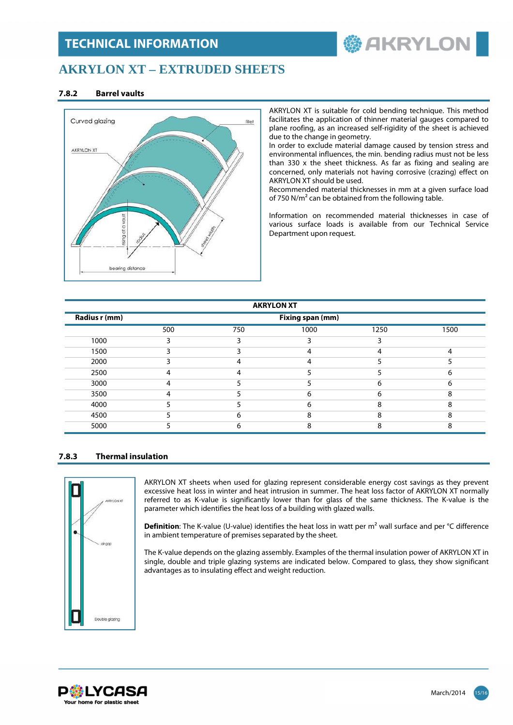# **参 AKRYLON**

### **AKRYLON XT – EXTRUDED SHEETS**

#### **7.8.2 Barrel vaults**



AKRYLON XT is suitable for cold bending technique. This method facilitates the application of thinner material gauges compared to plane roofing, as an increased self-rigidity of the sheet is achieved due to the change in geometry.

In order to exclude material damage caused by tension stress and environmental influences, the min. bending radius must not be less than 330 x the sheet thickness. As far as fixing and sealing are concerned, only materials not having corrosive (crazing) effect on AKRYLON XT should be used.

Recommended material thicknesses in mm at a given surface load of 750 N/m² can be obtained from the following table.

Information on recommended material thicknesses in case of various surface loads is available from our Technical Service Department upon request.

| <b>AKRYLON XT</b> |                  |     |      |      |      |  |  |  |  |
|-------------------|------------------|-----|------|------|------|--|--|--|--|
| Radius r (mm)     | Fixing span (mm) |     |      |      |      |  |  |  |  |
|                   | 500              | 750 | 1000 | 1250 | 1500 |  |  |  |  |
| 1000              | 3                | 3   | ∍    | 3    |      |  |  |  |  |
| 1500              |                  |     | 4    |      | 4    |  |  |  |  |
| 2000              |                  |     | 4    |      |      |  |  |  |  |
| 2500              | Δ                | л   |      |      | 6    |  |  |  |  |
| 3000              | Δ                |     |      | 6    | 6    |  |  |  |  |
| 3500              | Δ                |     | 6    | h    | 8    |  |  |  |  |
| 4000              |                  |     | 6    | 8    | 8    |  |  |  |  |
| 4500              |                  | 6   | 8    | 8    | 8    |  |  |  |  |
| 5000              |                  | h   | 8    | 8    | 8    |  |  |  |  |

#### **7.8.3 Thermal insulation**



AKRYLON XT sheets when used for glazing represent considerable energy cost savings as they prevent excessive heat loss in winter and heat intrusion in summer. The heat loss factor of AKRYLON XT normally referred to as K-value is significantly lower than for glass of the same thickness. The K-value is the parameter which identifies the heat loss of a building with glazed walls.

**Definition**: The K-value (U-value) identifies the heat loss in watt per m<sup>2</sup> wall surface and per °C difference in ambient temperature of premises separated by the sheet.

The K-value depends on the glazing assembly. Examples of the thermal insulation power of AKRYLON XT in single, double and triple glazing systems are indicated below. Compared to glass, they show significant advantages as to insulating effect and weight reduction.